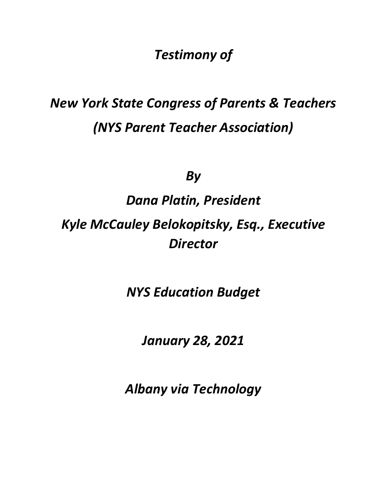*Testimony of*

# *New York State Congress of Parents & Teachers (NYS Parent Teacher Association)*

*By* 

# *Dana Platin, President*

*Kyle McCauley Belokopitsky, Esq., Executive Director*

*NYS Education Budget*

*January 28, 2021*

*Albany via Technology*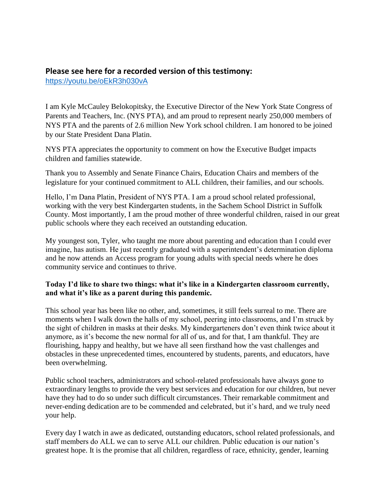# **Please see here for a recorded version of this testimony:**

<https://youtu.be/oEkR3h030vA>

I am Kyle McCauley Belokopitsky, the Executive Director of the New York State Congress of Parents and Teachers, Inc. (NYS PTA), and am proud to represent nearly 250,000 members of NYS PTA and the parents of 2.6 million New York school children. I am honored to be joined by our State President Dana Platin.

NYS PTA appreciates the opportunity to comment on how the Executive Budget impacts children and families statewide.

Thank you to Assembly and Senate Finance Chairs, Education Chairs and members of the legislature for your continued commitment to ALL children, their families, and our schools.

Hello, I'm Dana Platin, President of NYS PTA. I am a proud school related professional, working with the very best Kindergarten students, in the Sachem School District in Suffolk County. Most importantly, I am the proud mother of three wonderful children, raised in our great public schools where they each received an outstanding education.

My youngest son, Tyler, who taught me more about parenting and education than I could ever imagine, has autism. He just recently graduated with a superintendent's determination diploma and he now attends an Access program for young adults with special needs where he does community service and continues to thrive.

#### **Today I'd like to share two things: what it's like in a Kindergarten classroom currently, and what it's like as a parent during this pandemic.**

This school year has been like no other, and, sometimes, it still feels surreal to me. There are moments when I walk down the halls of my school, peering into classrooms, and I'm struck by the sight of children in masks at their desks. My kindergarteners don't even think twice about it anymore, as it's become the new normal for all of us, and for that, I am thankful. They are flourishing, happy and healthy, but we have all seen firsthand how the vast challenges and obstacles in these unprecedented times, encountered by students, parents, and educators, have been overwhelming.

Public school teachers, administrators and school-related professionals have always gone to extraordinary lengths to provide the very best services and education for our children, but never have they had to do so under such difficult circumstances. Their remarkable commitment and never-ending dedication are to be commended and celebrated, but it's hard, and we truly need your help.

Every day I watch in awe as dedicated, outstanding educators, school related professionals, and staff members do ALL we can to serve ALL our children. Public education is our nation's greatest hope. It is the promise that all children, regardless of race, ethnicity, gender, learning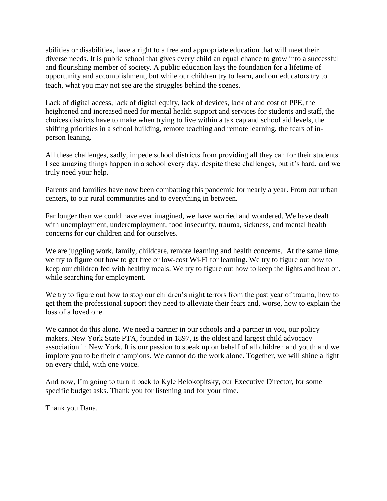abilities or disabilities, have a right to a free and appropriate education that will meet their diverse needs. It is public school that gives every child an equal chance to grow into a successful and flourishing member of society. A public education lays the foundation for a lifetime of opportunity and accomplishment, but while our children try to learn, and our educators try to teach, what you may not see are the struggles behind the scenes.

Lack of digital access, lack of digital equity, lack of devices, lack of and cost of PPE, the heightened and increased need for mental health support and services for students and staff, the choices districts have to make when trying to live within a tax cap and school aid levels, the shifting priorities in a school building, remote teaching and remote learning, the fears of inperson leaning.

All these challenges, sadly, impede school districts from providing all they can for their students. I see amazing things happen in a school every day, despite these challenges, but it's hard, and we truly need your help.

Parents and families have now been combatting this pandemic for nearly a year. From our urban centers, to our rural communities and to everything in between.

Far longer than we could have ever imagined, we have worried and wondered. We have dealt with unemployment, underemployment, food insecurity, trauma, sickness, and mental health concerns for our children and for ourselves.

We are juggling work, family, childcare, remote learning and health concerns. At the same time, we try to figure out how to get free or low-cost Wi-Fi for learning. We try to figure out how to keep our children fed with healthy meals. We try to figure out how to keep the lights and heat on, while searching for employment.

We try to figure out how to stop our children's night terrors from the past year of trauma, how to get them the professional support they need to alleviate their fears and, worse, how to explain the loss of a loved one.

We cannot do this alone. We need a partner in our schools and a partner in you, our policy makers. New York State PTA, founded in 1897, is the oldest and largest child advocacy association in New York. It is our passion to speak up on behalf of all children and youth and we implore you to be their champions. We cannot do the work alone. Together, we will shine a light on every child, with one voice.

And now, I'm going to turn it back to Kyle Belokopitsky, our Executive Director, for some specific budget asks. Thank you for listening and for your time.

Thank you Dana.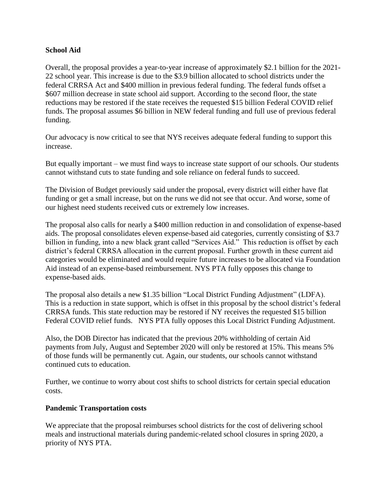#### **School Aid**

Overall, the proposal provides a year-to-year increase of approximately \$2.1 billion for the 2021- 22 school year. This increase is due to the \$3.9 billion allocated to school districts under the federal CRRSA Act and \$400 million in previous federal funding. The federal funds offset a \$607 million decrease in state school aid support. According to the second floor, the state reductions may be restored if the state receives the requested \$15 billion Federal COVID relief funds. The proposal assumes \$6 billion in NEW federal funding and full use of previous federal funding.

Our advocacy is now critical to see that NYS receives adequate federal funding to support this increase.

But equally important – we must find ways to increase state support of our schools. Our students cannot withstand cuts to state funding and sole reliance on federal funds to succeed.

The Division of Budget previously said under the proposal, every district will either have flat funding or get a small increase, but on the runs we did not see that occur. And worse, some of our highest need students received cuts or extremely low increases.

The proposal also calls for nearly a \$400 million reduction in and consolidation of expense-based aids. The proposal consolidates eleven expense-based aid categories, currently consisting of \$3.7 billion in funding, into a new black grant called "Services Aid." This reduction is offset by each district's federal CRRSA allocation in the current proposal. Further growth in these current aid categories would be eliminated and would require future increases to be allocated via Foundation Aid instead of an expense-based reimbursement. NYS PTA fully opposes this change to expense-based aids.

The proposal also details a new \$1.35 billion "Local District Funding Adjustment" (LDFA). This is a reduction in state support, which is offset in this proposal by the school district's federal CRRSA funds. This state reduction may be restored if NY receives the requested \$15 billion Federal COVID relief funds. NYS PTA fully opposes this Local District Funding Adjustment.

Also, the DOB Director has indicated that the previous 20% withholding of certain Aid payments from July, August and September 2020 will only be restored at 15%. This means 5% of those funds will be permanently cut. Again, our students, our schools cannot withstand continued cuts to education.

Further, we continue to worry about cost shifts to school districts for certain special education costs.

#### **Pandemic Transportation costs**

We appreciate that the proposal reimburses school districts for the cost of delivering school meals and instructional materials during pandemic-related school closures in spring 2020, a priority of NYS PTA.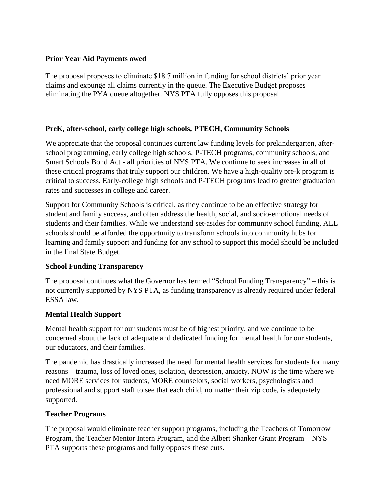#### **Prior Year Aid Payments owed**

The proposal proposes to eliminate \$18.7 million in funding for school districts' prior year claims and expunge all claims currently in the queue. The Executive Budget proposes eliminating the PYA queue altogether. NYS PTA fully opposes this proposal.

#### **PreK, after-school, early college high schools, PTECH, Community Schools**

We appreciate that the proposal continues current law funding levels for prekindergarten, afterschool programming, early college high schools, P-TECH programs, community schools, and Smart Schools Bond Act - all priorities of NYS PTA. We continue to seek increases in all of these critical programs that truly support our children. We have a high-quality pre-k program is critical to success. Early-college high schools and P-TECH programs lead to greater graduation rates and successes in college and career.

Support for Community Schools is critical, as they continue to be an effective strategy for student and family success, and often address the health, social, and socio-emotional needs of students and their families. While we understand set-asides for community school funding, ALL schools should be afforded the opportunity to transform schools into community hubs for learning and family support and funding for any school to support this model should be included in the final State Budget.

#### **School Funding Transparency**

The proposal continues what the Governor has termed "School Funding Transparency" – this is not currently supported by NYS PTA, as funding transparency is already required under federal ESSA law.

#### **Mental Health Support**

Mental health support for our students must be of highest priority, and we continue to be concerned about the lack of adequate and dedicated funding for mental health for our students, our educators, and their families.

The pandemic has drastically increased the need for mental health services for students for many reasons – trauma, loss of loved ones, isolation, depression, anxiety. NOW is the time where we need MORE services for students, MORE counselors, social workers, psychologists and professional and support staff to see that each child, no matter their zip code, is adequately supported.

#### **Teacher Programs**

The proposal would eliminate teacher support programs, including the Teachers of Tomorrow Program, the Teacher Mentor Intern Program, and the Albert Shanker Grant Program – NYS PTA supports these programs and fully opposes these cuts.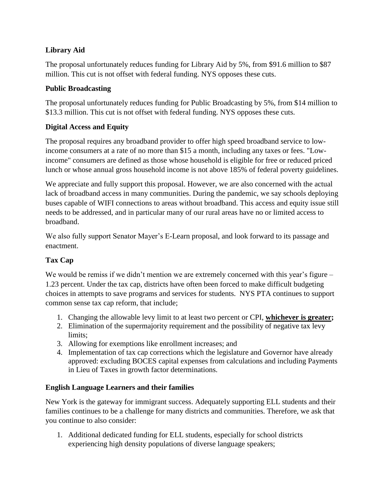# **Library Aid**

The proposal unfortunately reduces funding for Library Aid by 5%, from \$91.6 million to \$87 million. This cut is not offset with federal funding. NYS opposes these cuts.

## **Public Broadcasting**

The proposal unfortunately reduces funding for Public Broadcasting by 5%, from \$14 million to \$13.3 million. This cut is not offset with federal funding. NYS opposes these cuts.

# **Digital Access and Equity**

The proposal requires any broadband provider to offer high speed broadband service to lowincome consumers at a rate of no more than \$15 a month, including any taxes or fees. "Lowincome" consumers are defined as those whose household is eligible for free or reduced priced lunch or whose annual gross household income is not above 185% of federal poverty guidelines.

We appreciate and fully support this proposal. However, we are also concerned with the actual lack of broadband access in many communities. During the pandemic, we say schools deploying buses capable of WIFI connections to areas without broadband. This access and equity issue still needs to be addressed, and in particular many of our rural areas have no or limited access to broadband.

We also fully support Senator Mayer's E-Learn proposal, and look forward to its passage and enactment.

# **Tax Cap**

We would be remiss if we didn't mention we are extremely concerned with this year's figure – 1.23 percent. Under the tax cap, districts have often been forced to make difficult budgeting choices in attempts to save programs and services for students. NYS PTA continues to support common sense tax cap reform, that include;

- 1. Changing the allowable levy limit to at least two percent or CPI, **whichever is greater;**
- 2. Elimination of the supermajority requirement and the possibility of negative tax levy limits;
- 3. Allowing for exemptions like enrollment increases; and
- 4. Implementation of tax cap corrections which the legislature and Governor have already approved: excluding BOCES capital expenses from calculations and including Payments in Lieu of Taxes in growth factor determinations.

# **English Language Learners and their families**

New York is the gateway for immigrant success. Adequately supporting ELL students and their families continues to be a challenge for many districts and communities. Therefore, we ask that you continue to also consider:

1. Additional dedicated funding for ELL students, especially for school districts experiencing high density populations of diverse language speakers;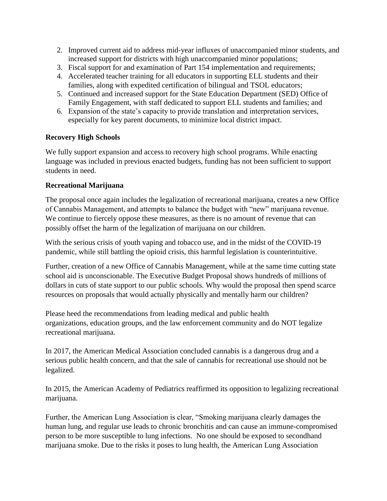- 2. Improved current aid to address mid-year influxes of unaccompanied minor students, and increased support for districts with high unaccompanied minor populations;
- 3. Fiscal support for and examination of Part 154 implementation and requirements;
- 4. Accelerated teacher training for all educators in supporting ELL students and their families, along with expedited certification of bilingual and TSOL educators;
- 5. Continued and increased support for the State Education Department (SED) Office of Family Engagement, with staff dedicated to support ELL students and families; and
- 6. Expansion of the state's capacity to provide translation and interpretation services, especially for key parent documents, to minimize local district impact.

#### **Recovery High Schools**

We fully support expansion and access to recovery high school programs. While enacting language was included in previous enacted budgets, funding has not been sufficient to support students in need.

#### **Recreational Marijuana**

The proposal once again includes the legalization of recreational marijuana, creates a new Office of Cannabis Management, and attempts to balance the budget with "new" marijuana revenue. We continue to fiercely oppose these measures, as there is no amount of revenue that can possibly offset the harm of the legalization of marijuana on our children.

With the serious crisis of youth vaping and tobacco use, and in the midst of the COVID-19 pandemic, while still battling the opioid crisis, this harmful legislation is counterintuitive.

Further, creation of a new Office of Cannabis Management, while at the same time cutting state school aid is unconscionable. The Executive Budget Proposal shows hundreds of millions of dollars in cuts of state support to our public schools. Why would the proposal then spend scarce resources on proposals that would actually physically and mentally harm our children?

Please heed the recommendations from leading medical and public health organizations, education groups, and the law enforcement community and do NOT legalize recreational marijuana.

In 2017, the American Medical Association concluded cannabis is a dangerous drug and a serious public health concern, and that the sale of cannabis for recreational use should not be legalized.

In 2015, the American Academy of Pediatrics reaffirmed its opposition to legalizing recreational marijuana.

Further, the American Lung Association is clear, "Smoking marijuana clearly damages the human lung, and regular use leads to chronic bronchitis and can cause an immune-compromised person to be more susceptible to lung infections. No one should be exposed to secondhand marijuana smoke. Due to the risks it poses to lung health, the American Lung Association